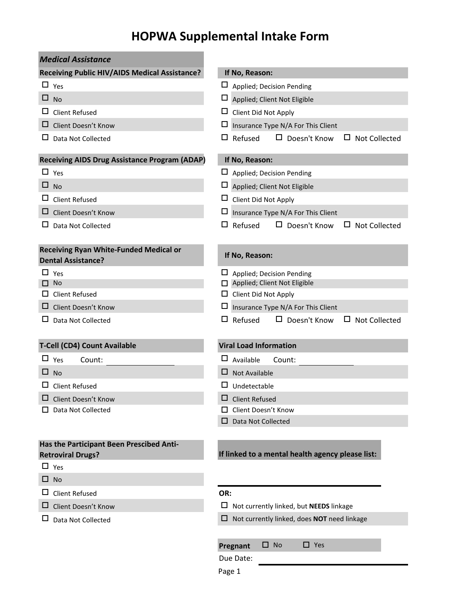## **HOPWA Supplemental Intake Form**

| <b>Medical Assistance</b>                                                  |                                                               |
|----------------------------------------------------------------------------|---------------------------------------------------------------|
| Receiving Public HIV/AIDS Medical Assistance?                              | If No, Reason:                                                |
| $\Box$ Yes                                                                 | ப<br>Applied; Decision Pending                                |
| ⊔<br><b>No</b>                                                             | $\Box$<br>Applied; Client Not Eligible                        |
| <b>Client Refused</b><br>ப                                                 | Client Did Not Apply                                          |
| ப<br>Client Doesn't Know                                                   | ப<br>Insurance Type N/A For This Client                       |
| Data Not Collected                                                         | Refused<br>$\Box$ Doesn't Know<br>ப<br><b>Not Collected</b>   |
| <b>Receiving AIDS Drug Assistance Program (ADAP)</b>                       | If No, Reason:                                                |
| $\Box$ Yes                                                                 | $\Box$ Applied; Decision Pending                              |
| $\Box$ No                                                                  | $\Box$<br>Applied; Client Not Eligible                        |
| <b>Client Refused</b><br>ப                                                 | $\Box$ Client Did Not Apply                                   |
| □<br>Client Doesn't Know                                                   | ப<br>Insurance Type N/A For This Client                       |
| ப<br>Data Not Collected                                                    | $\Box$ Refused<br>$\Box$ Doesn't Know<br>$\Box$ Not Collected |
| <b>Receiving Ryan White-Funded Medical or</b><br><b>Dental Assistance?</b> | If No, Reason:                                                |
| ப<br>Yes                                                                   | Applied; Decision Pending                                     |
| <b>No</b>                                                                  | Applied; Client Not Eligible                                  |
| <b>Client Refused</b>                                                      | $\Box$ Client Did Not Apply                                   |
| Client Doesn't Know<br>ப                                                   | Insurance Type N/A For This Client                            |
| ப<br>Data Not Collected                                                    | $\Box$ Refused<br>$\Box$ Doesn't Know<br>$\Box$ Not Collected |
| T-Cell (CD4) Count Available                                               | <b>Viral Load Information</b>                                 |
| $\Box$ Yes<br>Count:                                                       | Available<br>Count:                                           |
| ⊔<br><b>No</b>                                                             | ப<br><b>Not Available</b>                                     |
| <b>Client Refused</b><br>ப                                                 | Undetectable                                                  |
| Client Doesn't Know                                                        | ப<br><b>Client Refused</b>                                    |
| Data Not Collected                                                         | Client Doesn't Know                                           |
|                                                                            | Data Not Collected                                            |
| Has the Participant Been Prescibed Anti-<br><b>Retroviral Drugs?</b>       | If linked to a mental health agency please list:              |
| $\Box$ Yes                                                                 |                                                               |
| No<br>ப                                                                    |                                                               |
| ப<br><b>Client Refused</b>                                                 | OR:                                                           |
| ப<br>Client Doesn't Know                                                   | $\Box$ Not currently linked, but <b>NEEDS</b> linkage         |
| Data Not Collected                                                         | $\Box$ Not currently linked, does NOT need linkage            |
|                                                                            | <b>No</b><br>$\Box$ Yes<br>□.<br>Pregnant<br>Due Date:        |

Page 1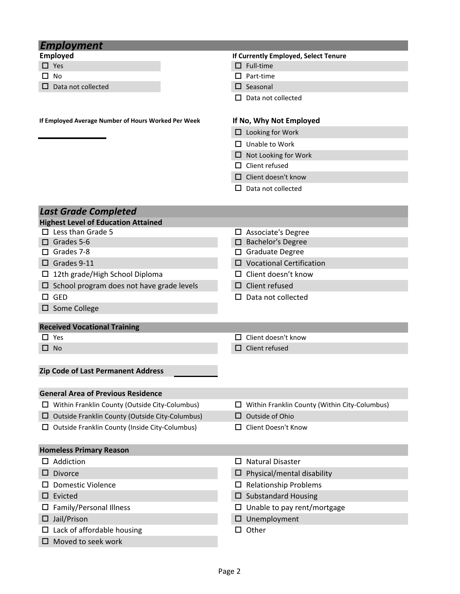| <b>Employment</b>                                   |                                                    |
|-----------------------------------------------------|----------------------------------------------------|
| <b>Employed</b>                                     | If Currently Employed, Select Tenure               |
| $\Box$ Yes                                          | $\Box$ Full-time                                   |
| No                                                  | Part-time                                          |
| Data not collected                                  | $\Box$ Seasonal                                    |
|                                                     | Data not collected                                 |
|                                                     |                                                    |
| If Employed Average Number of Hours Worked Per Week | If No, Why Not Employed                            |
|                                                     | $\Box$ Looking for Work                            |
|                                                     | Unable to Work<br>П.                               |
|                                                     | Not Looking for Work<br>□                          |
|                                                     | $\Box$ Client refused                              |
|                                                     | $\Box$ Client doesn't know                         |
|                                                     | Data not collected                                 |
|                                                     |                                                    |
| <b>Last Grade Completed</b>                         |                                                    |
| <b>Highest Level of Education Attained</b>          |                                                    |
| $\Box$ Less than Grade 5                            | $\Box$ Associate's Degree                          |
| $\Box$ Grades 5-6                                   | □ Bachelor's Degree                                |
| $\Box$ Grades 7-8                                   | □ Graduate Degree                                  |
| $\Box$ Grades 9-11                                  | $\square$ Vocational Certification                 |
| $\Box$ 12th grade/High School Diploma               | $\Box$ Client doesn't know                         |
| $\Box$ School program does not have grade levels    | $\square$ Client refused                           |
| $\square$ GED                                       | Data not collected                                 |
| $\square$ Some College                              |                                                    |
|                                                     |                                                    |
| <b>Received Vocational Training</b><br>$\Box$ Yes   | Client doesn't know                                |
| $\square$ No                                        | Client refused<br>□                                |
|                                                     |                                                    |
|                                                     |                                                    |
| Zip Code of Last Permanent Address                  |                                                    |
| <b>General Area of Previous Residence</b>           |                                                    |
| Within Franklin County (Outside City-Columbus)      | Within Franklin County (Within City-Columbus)<br>ப |
| Outside Franklin County (Outside City-Columbus)     | Outside of Ohio<br>⊔                               |
| Outside Franklin County (Inside City-Columbus)      | Client Doesn't Know                                |
|                                                     |                                                    |
| <b>Homeless Primary Reason</b>                      |                                                    |
| Addiction                                           | <b>Natural Disaster</b><br>ப                       |
| <b>Divorce</b>                                      | Physical/mental disability<br>$\Box$               |
| <b>Domestic Violence</b>                            | <b>Relationship Problems</b><br>ப                  |
| Evicted                                             | <b>Substandard Housing</b><br>ப                    |
| Family/Personal Illness                             | Unable to pay rent/mortgage                        |
| Jail/Prison                                         | Unemployment                                       |
|                                                     | Other                                              |
| Lack of affordable housing                          | □                                                  |
| Moved to seek work                                  |                                                    |